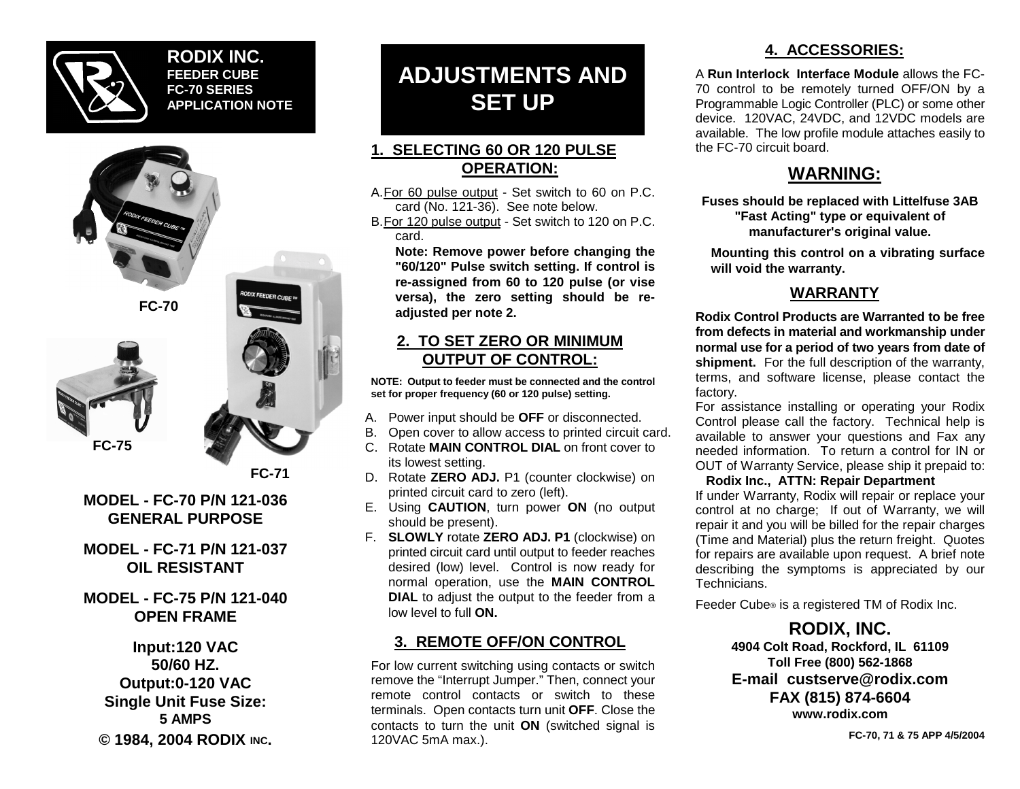

### **RODIX INC.FEEDER CUBEFC-70 SERIESAPPLICATION NOTE**







**FC-71**

**ODIX FEEDER CUBE** 

#### **MODEL - FC-70 P/N 121-036GENERAL PURPOSE**

**MODEL - FC-71 P/N 121-037OIL RESISTANT**

# **MODEL - FC-75 P/N 121-040OPEN FRAME**

**Input:120 VAC 50/60 HZ.Output:0-120 VAC Single Unit Fuse Size: 5 AMPS© 1984, 2004 RODIX INC.**

# **ADJUSTMENTS AND SET UP**

# **1. SELECTING 60 OR 120 PULSEOPERATION:**

A.For 60 pulse output - Set switch to 60 on P.C. card (No. 121-36). See note below.

B.For 120 pulse output - Set switch to 120 on P.C. card.

**Note: Remove power before changing the "60/120" Pulse switch setting. If control is re-assigned from 60 to 120 pulse (or vise versa), the zero setting should be readjusted per note 2.**

### **2. TO SET ZERO OR MINIMUMOUTPUT OF CONTROL:**

**NOTE: Output to feeder must be connected and the control set for proper frequency (60 or 120 pulse) setting.**

- A. Power input should be **OFF** or disconnected.
- B. Open cover to allow access to printed circuit card.
- C. Rotate **MAIN CONTROL DIAL** on front cover toits lowest setting.
- D. Rotate **ZERO ADJ.** P1 (counter clockwise) on printed circuit card to zero (left).
- E. Using **CAUTION**, turn power **ON** (no output should be present).
- F. **SLOWLY** rotate **ZERO ADJ. P1** (clockwise) on printed circuit card until output to feeder reaches desired (low) level. Control is now ready for normal operation, use the **MAIN CONTROL DIAL** to adjust the output to the feeder from a low level to full **ON.**

# **3. REMOTE OFF/ON CONTROL**

For low current switching using contacts or switch remove the "Interrupt Jumper." Then, connect your remote control contacts or switch to theseterminals. Open contacts turn unit **OFF**. Close the contacts to turn the unit **ON** (switched signal is 120VAC 5mA max.).

# **4. ACCESSORIES:**

A **Run Interlock Interface Module** allows the FC-70 control to be remotely turned OFF/ON by a Programmable Logic Controller (PLC) or some other device. 120VAC, 24VDC, and 12VDC models are available. The low profile module attaches easily to the FC-70 circuit board.

# **WARNING:**

**Fuses should be replaced with Littelfuse 3AB "Fast Acting" type or equivalent of manufacturer's original value.**

**Mounting this control on a vibrating surface will void the warranty.**

# **WARRANTY**

**Rodix Control Products are Warranted to be freefrom defects in material and workmanship under normal use for a period of two years from date of shipment.** For the full description of the warranty, terms, and software license, please contact the factory.

For assistance installing or operating your Rodix Control please call the factory. Technical help is available to answer your questions and Fax any needed information. To return a control for IN orOUT of Warranty Service, please ship it prepaid to:

#### **Rodix Inc., ATTN: Repair Department**

If under Warranty, Rodix will repair or replace your control at no charge; If out of Warranty, we will repair it and you will be billed for the repair charges (Time and Material) plus the return freight. Quotes for repairs are available upon request. A brief note describing the symptoms is appreciated by our Technicians.

Feeder Cube® is a registered TM of Rodix Inc.

**RODIX, INC. 4904 Colt Road, Rockford, IL 61109 Toll Free (800) 562-1868 E-mail custserve@rodix.comFAX (815) 874-6604 www.rodix.com**

**FC-70, 71 & 75 APP 4/5/2004**